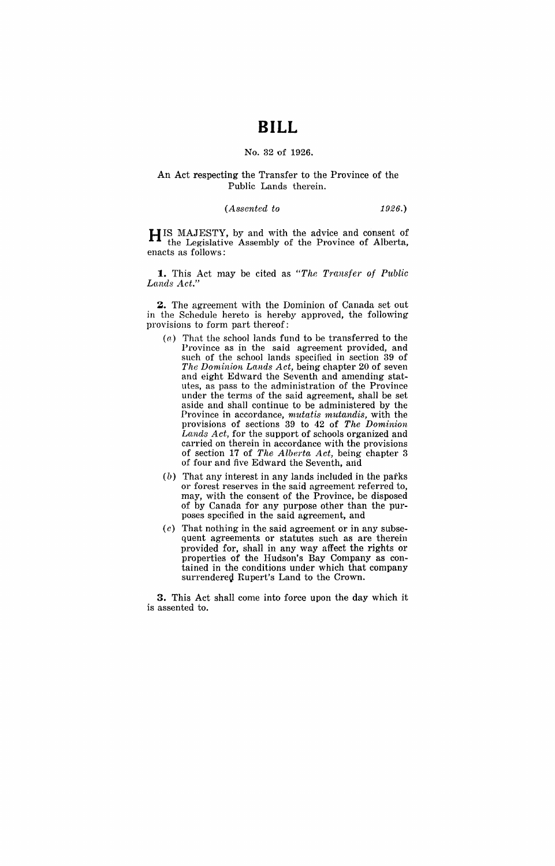# **BILL**

## No. 32 of 1926.

### An Act respecting the Transfer to the Province of the Public Lands therein.

*(Assented to* 1926.)

HIS MAJESTY, by and with the advice and consent of the Legislative Assembly of the Province of Alberta, enacts as follows:

1. This Act may be cited as "The Transfer of Public Lands Act.'

z. The agreement with the Dominion of Canada set out in the Schedule hereto is hereby approved, the following provisions to form part thereof:

- (a) That the school lands fund to be transferred to the Province as in the said agreement provided, and such of the school lands specified in section 39 of *The Dominion Lands Act,* being chapter 20 of seven and eight Edward the Seventh and amending statutes, as pass to the administration of the Province under the terms of the said agreement, shall be set aside and shall continue to be administered by the Province in accordance, *mutatis mutandis,* with the provisions of sections 39 to 42 of *The Dominion Lands Act,* for the support of schools organized and carried on therein in accordance with the provisions of section 17 of *The Alberta Act*, being chapter 3 of four and five Edward the Seventh, arid
- (b) That any interest in any lands included in the parks or forest reserves in the said agreement referred to, may, with the consent of the Province, be disposed of by Canada for any purpose other than the purposes specified in the said agreement, and
- $(c)$  That nothing in the said agreement or in any subsequent agreements or statutes such as are therein provided for, shall in any way affect the rights or properties of the Hudson's Bay Company as contained in the conditions under which that company surrendered Rupert's Land to the Crown.

**3.** This Act shall come into force upon the day which it is assented to.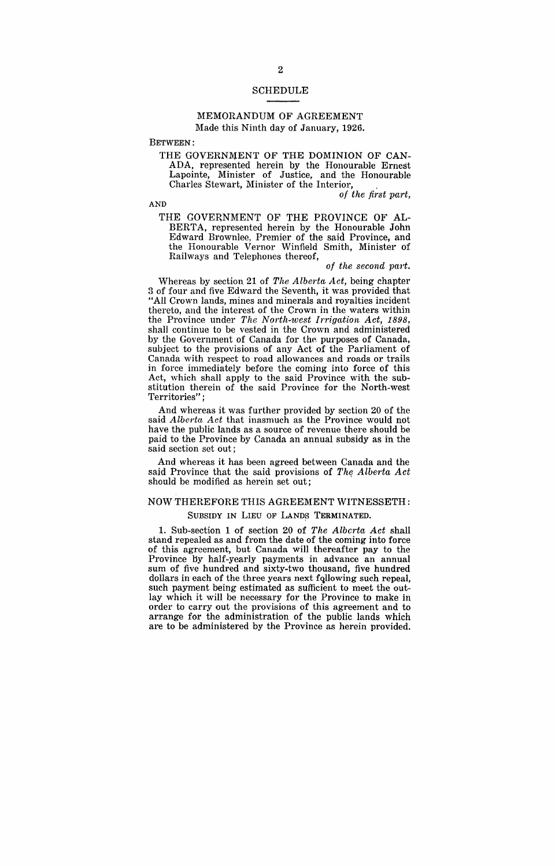### SCHEDULE

### MEMORANDUM OF AGREEMENT Made this Ninth day of January, 1926.

BETWEEN:

THE GOVERNMENT OF THE DOMINION OF CAN-ADA, represented herein by the Honourable Ernest Lapointe, Minister of Justice, and the Honourable Charles Stewart, Minister of the Interior, .

*of the first part,* 

AND

THE GOVERNMENT OF THE PROVINCE OF AL-BERTA, represented herein by the Honourable John Edward Brownlee, Premier of the said Province, and the Honourable Vernor Winfield Smith, Minister of Railways and Telephones thereof,

### *of the second part.*

Whereas by section. 21 of *The Alberta Act,* being chapter 3 of four and five Edward the Seventh, it was provided that "All Crown lands, mines and minerals and royalties incident thereto, and the interest of the Crown in the waters within the Province under *The North-west Irrigation Act, 1898,*  shall continue to be vested in the Crown and administered by the Government of Canada for the purposes of Canada, subject to the provisions of any Act of the Parliament of Canada with respect to road allowances and roads or trails in force immediately before the coming into force of this Act, which shall apply to the said Province with the substitution therein of the said Province for the North-west Territories" ;

And whereas it was further provided by section 20 of the said *Alberta Act* that inasmuch as the Province would not have the public lands as a source of revenue there should be paid to the Province by Canada an annual subsidy as in the said section set out:

And whereas it has been agreed between Canada and the said Province that the said provisions of The Alberta Act should be modified as herein set out;

# NOW THEREFORE THIS AGREEMENT WITNESSETH:

# SUBSIDY IN LIEU OF LANDS TERMINATED.

1. Sub-section 1 of section 20 of *The Alberta Act* shall stand repealed as and from the date of the coming into force of this agreement, but Canada will thereafter pay to the Province by half-yearly payments in advance an annual sum of five hundred and sixty-two thousand, five hundred dollars in each of the three years next fqllowing such repeal, such payment being estimated as sufficient to meet the outlay which it will be necessary for the Province to make in order to carry out the provisions of this agreement and to arrange for the administration of the public lands which are to be administered by the Province as herein provided.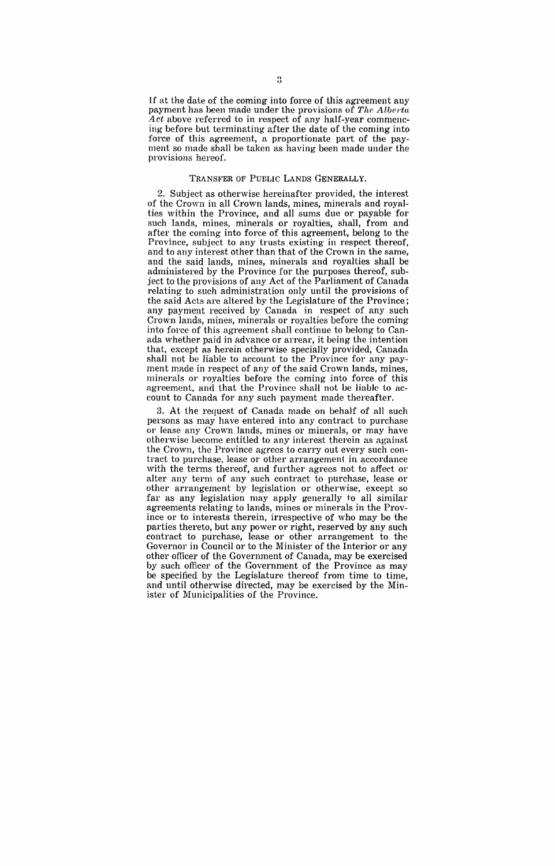If at the date of the coming into force of this agreement any payment has been made under the provisions of *The Alberta* Act above referred to in respect of any half-year commencing before but terminating after the date of the coming into force of this agreement, a proportionate part of the payment so made shall be taken as having been made under the provisions hereof.

#### TRANSFER OF PUELIC LANDS GENERALLY.

2. Subject as otherwise hereinafter provided, the interest of the Crown in all Crown lands, mines, minerals and royalties within the Province, and all sums due or payable for such lands, mines, minerals or royalties, shall, from and after the coming into force of this agreement, belong to the Province, subject to any trusts existing in respect thereof, and to any interest other than that of the Crown in the same, and the said lands, mines, minerals and royalties shall be administered by the Province for the purposes thereof, subject to the provisions of any Act of the Parliament of Canada relating to such administration only until the provisions of the said Acts are altered by the Legislature of the Province; any payment received by Canada in respect of any such Crown lands, mines, minerals or royalties before the coming into force of this agreement shall continue to belong to Canada whether paid in advance or arrear, it being the intention that, except as herein otherwise specially provided, Canada shall not be liable to account to the Province for any payment made in respect of any of the said Crown lands, mines, minerals or royalties before the coming into force of this agreement, and that the Province shall not be liable to account to Canada for any such payment made thereafter.

3. At the request of Canada made on behalf of all such persons as may have entered into any contract to purchase or lease any Crown lands, mines or minerals, or may have otherwise become entitled to any interest therein as against the Crown, the Province agrees to carry out every such contract to purchase, lease or other arrangement in accordance with the terms thereof, and further agrees not to affect or alter any term of any such contract to purchase, lease or other arrangement by legislation or otherwise, except so far as any legislation may apply generally to all similar agreements relating to lands, mines or minerals in the Province or to interests therein, irrespective of who may be the parties thereto, but any power or right, reserved by any such contract to purchase, lease or other arrangement to the Governor in Council or to the Minister of the Interior or any other officer of the Government of Canada, may be exercised by such officer of the Government of the Province as may be specified by the Legislature thereof from time to time, and until otherwise directed, may be exercised by the Minister of Municipalities of the Province.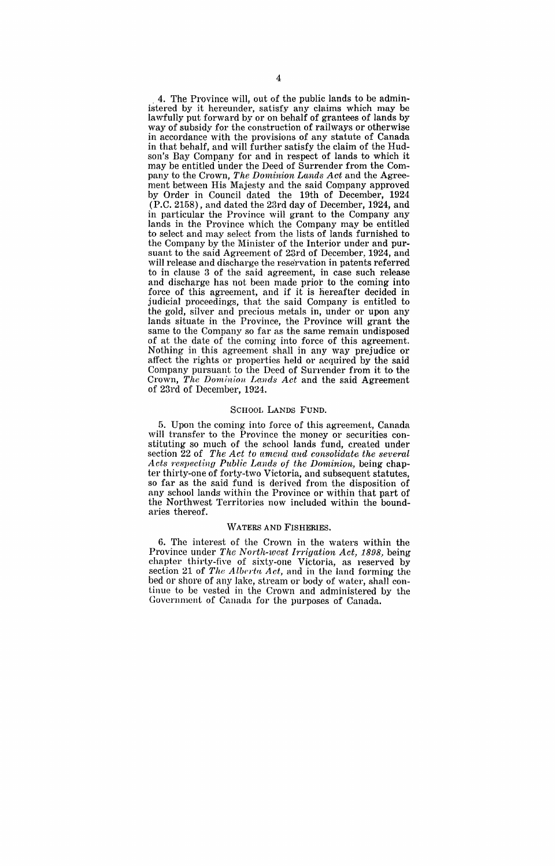. 4. The Province will, out of the public lands to be administered by it hereunder, satisfy any claims which may be lawfully put forward by or on behalf of grantees of lands by way of subsidy for the construction of railways or otherwise in accordance with the provisions of any statute of Canada in that behalf, and will further satisfy the claim of the Hudson's Bay Company for and in respect of lands to which it may be entitled under the Deed of Surrender from the Company to the Crown, *The Dominion Lands Act* and the Agreement between His Majesty and the said Company approved by Order in Council dated the 19th of December, 1924 (P.C. 2158), and dated the 23rd day of December, 1924, and in particular the Province will grant to the Company any lands in the Province which the Company may be entitled to select and may select from the lists of lands furnished to the Company by the Minister of the Interior under and pursuant to the said Agreement of 23rd of December, 1924, and will release and discharge the reservation in patents referred to in clause 3 of the said agreement, in case such release and discharge has not been made prior to the coming into force of this agreement, and if it is hereafter decided in judicial proceedings, that the said Company is entitled to the gold, silver and precious metals in, under or upon any lands situate in the Province, the Province will grant the same to the Company so far as the same remain undisposed of at the date of the coming into force of this agreement. Nothing in this agreement shall in any way prejudice or affect the rights or properties held or acquired by the said Company pursuant to the Deed of Surrender from it to the Crown, *The Dominion Lauds Act* and the said Agreement of 23rd of December, 1924.

#### SCHOOL LANDS FUND.

5. Upon the coming into force of this agreement, Canada will transfer to the Province the money or securities constituting so much of the school lands fund, created under section 22 of The Act to amend and consolidate, the several *Acts respect'lng PubUc Lands of the Dominion,* being chapter thirty-one of forty-two Victoria, and subsequent statutes, so far as the said fund is derived from the disposition of any school lands within the Province or within that part of the Northwest Territories now included within the boundaries thereof.

#### WATERS AND FISHERIES.

6. The interest of the Crown in the waters within the Province under *The North-west Irrigation Act, 1898*, being chapter thirty-five of sixty-one Victoria, as reserved by section 21 of *The Alberta Act*, and in the land forming the bed or shore of any lake, stream or body of water, shall continue to be vested in the Crown and administered by the Government of Canada for the purposes of Canada.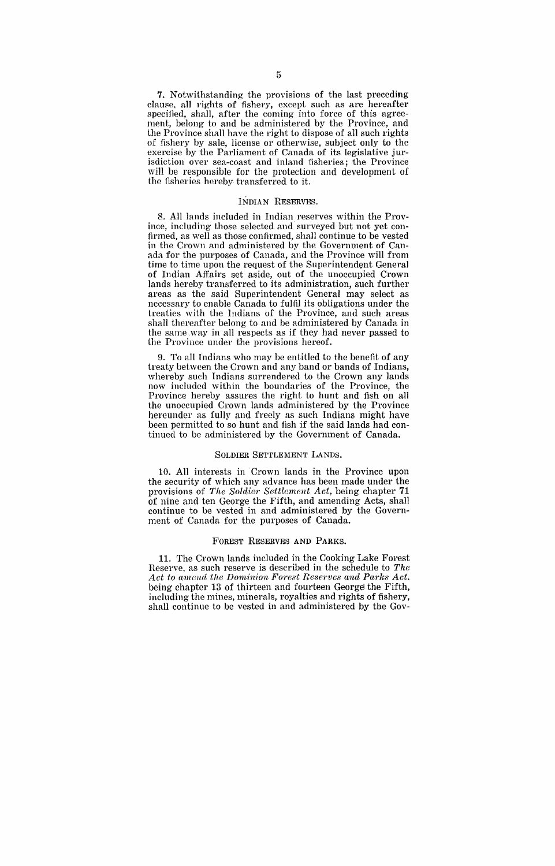7 . Notwithstanding the provisions of the last preceding clam'e. all rights of fishery, except such as are hereafter specified, shall, after the coming into force of this agreement, belong to and be administered by the Province, and the Province shall have the right to dispose of all such rights of fishery by sale, license or otherwise, subject only to the exercise by the Parliament of Canada of its legislative jurisdiction over sea-coast and inland fisheries; the Province will be responsible for the protection and development of the fisheries hereby transferred to it.

#### INDIAN RESERVES.

8. All lands included in Indian reserves within the Province, including those selected and surveyed but not yet confirmed, as well as those confirmed, shall continue to be vested in the Crown and administered by the Government of Canada for the purposes of Canada, and the Province will from time to time upon the request of the Superintendent General of Indian Affairs set aside, out of the unoccupied Crown lands hereby transferred to its administration, such further areas as the said Superintendent General may select as necessary to enable Canada to fulfil its obligations under the treaties with the Indians of the Province, and such areas shall thereafter belong to and be administered by Canada in the same way in all respects as if they had never passed to the Province under the provisions hereof.

9. To all Indians who may be entitled to the benefit of any treaty between the Crown and any band or bands of Indians, whereby such Indians surrendered to the Crown any lands now included within the boundaries of the Province, the Province hereby assures the right to hunt and fish on all the unoccupied Crown lands administered by the Province hereunder as fully and freely as such Indians might have been permitted to so hunt and fish if the said lands had continued to be administered by the Government of Canada.

#### SOLDIER SETTLEMENT LANDS.

10. All interests in Crown lands in the Province upon the security of which any advance has been made under the provisions of *The Soldier Settlement Act,* being chapter 71 of nine and ten George the Fifth, and amending Acts, shall continue to be vested in and administered by the Government of Canada for the purposes of Canada.

#### FOREST RESERVES AND PARKS.

11. The Crown lands included in the Cooking Lake Forest Reserve. as such reserve is described in the schedule to *The Act to amend the Dominion Forest Reserves and Parks Act.*  being chapter 13 of thirteen and fourteen George the Fifth, including the mines, minerals, royalties and rights of fishery, shall continue to be vested in and administered by the Gov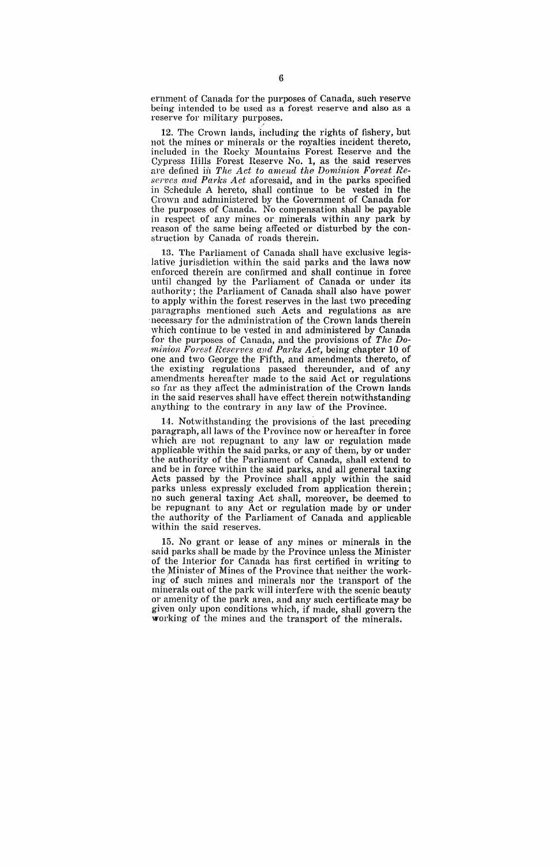ernment of Canada for the purposes of Canada, such reserve being intended to be used as a forest reserve and also as a reserve for military purposes.

12. The Crown lands, including the rights of fishery, but not the mines or minerals or the royalties incident thereto, included in the Rocky Mountains Forest Reserve and the Cypress Hills Forest Reserve **No.1,** as the said reserves are defined in *The Act to amend the Dominion Forest Reserves and Parks Act* aforesaid, and in the parks specified in Schedule A hereto, shall continue to be vested in the Crown and administered by the Government of Canada for the purposes of Canada. No compensation shall be payable in respect of any mines or minerals within any park by reason of the same being affected or disturbed by the construction by Canada of roads therein.

13. The Parliament of Canada shall have exclusive legislative jurisdiction within the said parks and the laws now enforced therein are confirmed and shall continue in force until changed by the Parliament of Canada or under its authority; the Parliament of Canada shall also have power to apply within the forest reserves in the last two preceding paragraphs mentioned such Acts and regulations as are necessary for the administration of the Crown lands therein which continue to be vested in and administered by Canada for the purposes of Canada, and the provisions of *The Dominion Forest Reserves and Parks Act, being chapter 10 of* one and two George the Fifth, and amendments thereto, of the existing regulations passed thereunder, and of any amendments hereafter made to the said Act or regulations so far as they affect the administration of the Crown lands in the said reserves shall have effect therein notwithstanding anything to the contrary in any law of the Province.

14. Notwithstanding the provisions of the last preceding paragraph, all laws of the Province now or hereafter in force which are not repugnant to any law or regulation made applicable within the said parks, or any of them, by or under the authority of the Parliament of Canada, shall extend to and be in force within the said parks, and all general taxing Acts passed by the Province shall apply within the said parks unless expressly excluded from application therein; no such general taxing Act shall, moreover, be deemed to be repugnant to any Act or regulation made by or under the authority of the Parliament of Canada and applicable within the said reserves.

15. No grant or lease of any mines or minerals in the said parks shall be made by the Province unless the Minister of the Interior for Canada has first certified in writing to the Minister of Mines of the Province that neither the working) of such mines and minerals nor the transport of the minerals out of the park will interfere with the scenic beauty or amenity of the park area, and any such certificate may be given only upon conditions which, if made, shall govern the working of the mines and the transport of the minerals.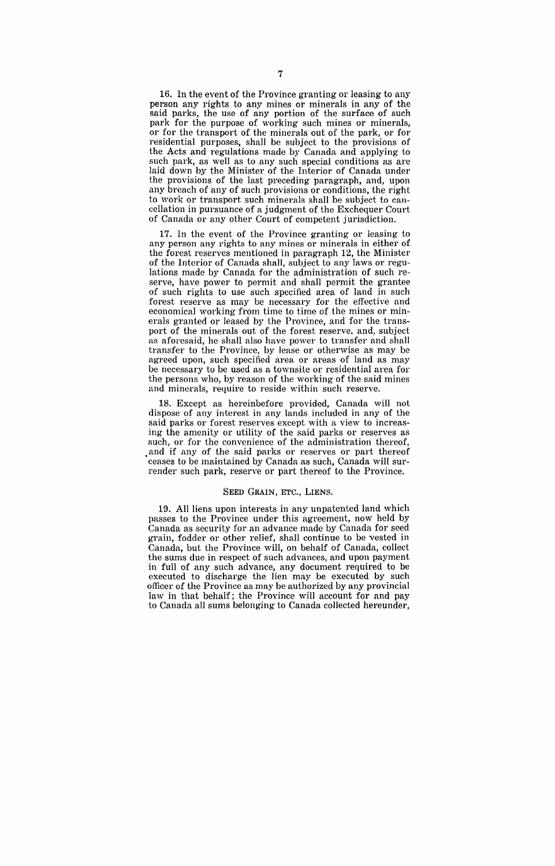16. In the event of the Province granting or leasing to any person any rights to any mines or minerals in any of the said parks, the use of any portion of the surface of such park for the purpose of working such mines or minerals, or for the transport of the minerals out of the park, or for residential purposes, shall be subject to the provisions of the Acts and regulations made by Canada and applying to such park, as well as to any such special conditions as are laid down by the Minister of the Interior of Canada under the provisions of the last preceding paragraph, and, upon any breach of any of such provisions or conditions, the right to work or transport such minerals shall be subject to cancellation in pursuance of a judgment of the Exchequer Court of Canada or any other Court of competent jurisdiction.

17. In the event of the Province granting or leasing to any person any rights to any mines or minerals in either of the forest reserves mentioned in paragraph 12, the Minister of the Interior of Canada shall, subject to any laws or regulations made by Canada for the administration of such reserve, have power to permit and shall permit the grantee of such rights to use such specified area of land in such forest reserve as may be necessary for the effective and economical working from time to time of the mines or minerals granted or leased by the Province, and for the transport of the minerals out of the forest reserve. and, subject as aforesaid, he shall also have power to transfer and shall transfer to the Province, by lease or otherwise as may be agreed upon, such specified area or areas of land as may be necessary to be used as a townsite or residential area for the persons who, by reason of the working of the said mines and minerals, require to reside within such reserve.

18. Except as hereinbefore provided, Canada will not dispose of any interest in any lands included in any of the said parks or forest reserves except with a view to increasing the amenity or utility of the said parks or reserves as such, or for the convenience of the administration thereof, and if any of the said parks or reserves or part thereof ceases to be maintained by Canada as such, Canada will surrender such park, reserve or part thereof to the Province.

### SEED GRAIN, ETC., LIENS.

19. All liens upon interests in any unpatented land which passes to the Province under this agreement, now held by Canada as security for an advance made by Canada for seed grain, fodder or other relief, shall continue to be vested in Canada, but the Province will, on behalf of Canada, collect the sums due in respect of such advances, and upon payment in full of any. such advance, any document required to be executed to discharge the lien may be executed by such officer of the Province as may be authorized by any provincial law in that behalf; the Province will account for and pay to Canada all sums belonging to Canada collected hereunder,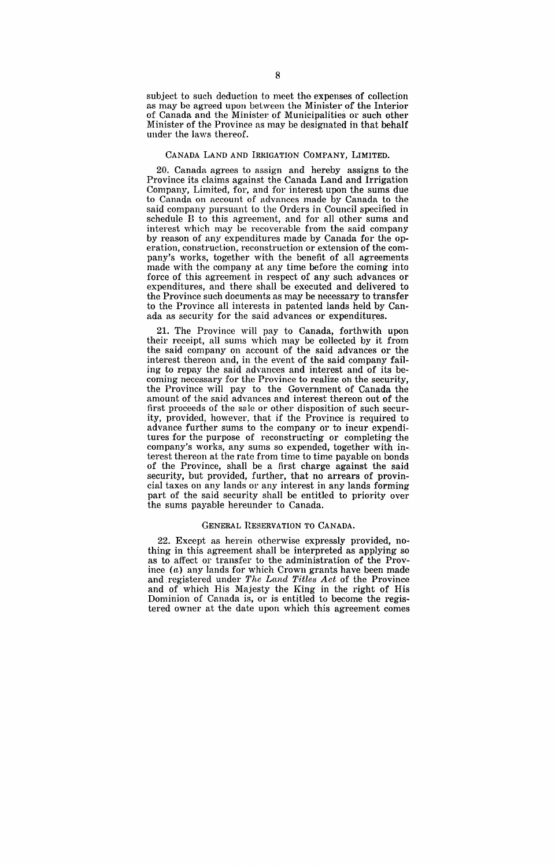subject to such deduction to meet the expenses of collection as may be agreed upon between the Minister of the Interior of Canada and the Minister of Municipalities or such other Minister of the Province as may be designated in that behalf under the laws thereof.

### CANADA LAND AND IRRIGATION COMPANY, LIMITED.

20. Canada agrees to assign and hereby assigns to the Province its claims against the Canada Land and Irrigation Company, Limited, for, and for interest upon the sums due to Canada on account of advances made by Canada to the said company pursuant to the Orders in Council specified in schedule B to this agreement, and for all other sums and interest which may be recoverable from the said company by reason of any expenditures made by Canada for the operation, construction, reconstruction or extension of the company's works, together with the benefit of all agreements made with the company at any time before the coming into force of this agreement in respect of any such advances or expenditures, and there shall be executed and delivered to the Province such documents as may be necessary to transfer to the Province all interests in patented lands held by Canada as security for the said advances or expenditures.

21. The Province will pay to Canada, forthwith upon their receipt, all sums which may be collected by it from the said company on account of the said advances or the interest thereon and, in the event of the said company failing to repay the said advances and interest and of its becoming necessary for the Province to realize oh the security, the Province will pay to the Government of Canada the amount of the said advances and interest thereon out of the first proceeds of the sale or other disposition of such security, provided, however, that if the Province is required to advance further sums to the company or to incur expenditures for the purpose of reconstructing or completing the company's works, any sums so expended, together with in-. terest thereon at the rate from time to time payable on bonds of the Province, shall be a first charge against the said security, but provided, further, that no arrears of provincial taxes on any lands or any interest in any lands forming part of the said security shall be entitled to priority over the sums payable hereunder to Canada.

#### GENERAL RESERVATION TO CANADA.

22. Except as herein otherwise expressly provided, nothing in this agreement shall be interpreted as applying so as to affect or transfer to the administration of the Province (a) any lands for which Crown grants have been made and registered under *The Land T·itles Act* of the Province and of which His Majesty the King in the right of His Dominion of Canada is, or is entitled to become the registered owner at the date upon which this agreement comes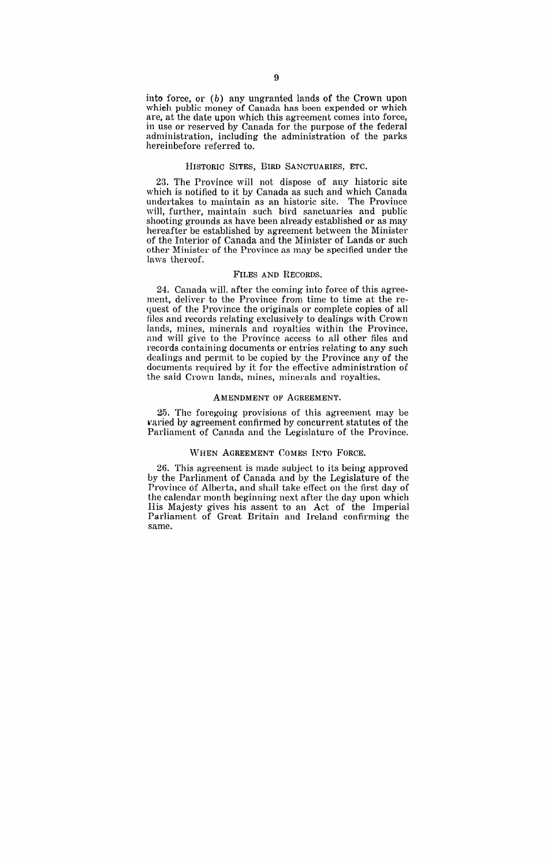into force, or  $(b)$  any ungranted lands of the Crown upon which public money of Canada has been expended or which are, at the date upon which this agreement comes into force, in use or reserved by Canada for the purpose of the federal administration, including the administration of the parks hereinbefore referred to.

#### HISTORIC SITES, BIRD SANCTUARIES, ETC.

23. The Province will not dispose of any historic site which is notified to it by Canada as such and which Canada undertakes to maintain as an historic site. The Province will, further, maintain such bird sanctuaries and public shooting grounds as have been already established or as may hereafter be established by agreement between the Minister of the Interior of Canada and the Minister of Lands or such other Minister of the Province as may be specified under the laws thereof.

#### FILES AND RECORDS.

24. Canada will. after the coming into force of this agreement, deliver to the Province from time to time at the request of the Province the originals or complete copies of all files and records relating exclusively to dealings with Crown lands, mines, minerals and royalties within the Province, and will give to the Province access to all other files and records containing documents or entries relating to any such dealings and permit to be copied by the Province any of the documents required by it for the effective administration of the said Crown lands, mines, minerals and royalties.

#### AMENDMENT OF AGREEMENT.

25. The foregoing provisions of this agreement may be varied by agreement confirmed by concurrent statutes of the Parliament of Canada and the Legislature of the Province.

#### WHEN AGREEMENT COMES INTO FORCE.

26. This agreement is made subject to its being approved by the Parliament of Canada and by the Legislature of the Province of Alberta, and shall take effect on the first day of the calendar month beginning next after the day upon which His Majesty gives his assent to an Act of the Imperial Parliament of Great Britain and Ireland confirming the same.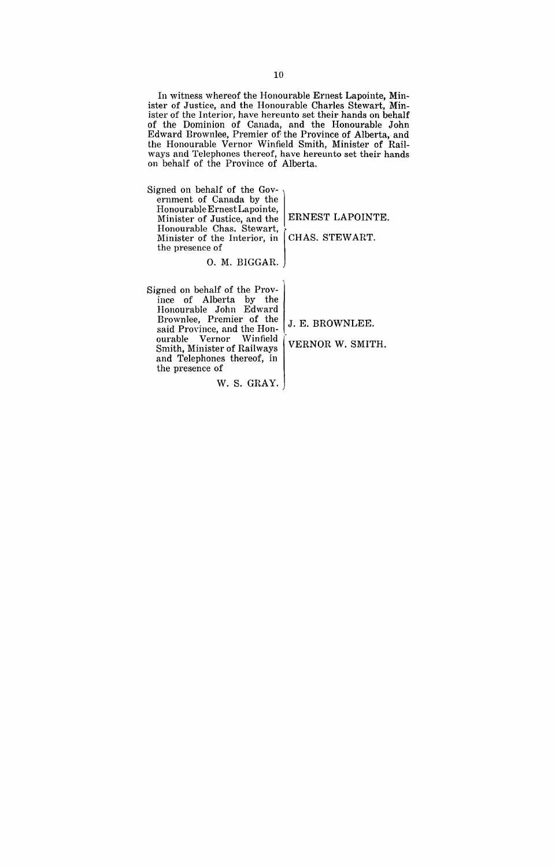In witness whereof the Honourable Ernest Lapointe, Minister of Justice, and the Honourable Charles Stewart, Minister of the Interior, have hereunto set their hands on behalf of the Dominion of Canada, and the Honourable John Edward Brownlee, Premier of the Province of Alberta, and the Honourable Vernor Winfield Smith, Minister of Railways and Telephones thereof, have hereunto set their hands on behalf of the Province of Alberta.

Signed on behalf of the Government of Canada by the Honourable ErnestLapointe, Minister of Justice, and the ERNEST LAPOINTE. Minister of the Interior, in CHAS. STEWART. the presence of Honourable Ernest Lapointe,<br>Minister of Justice, and the EF<br>Honourable Chas. Stewart,<br>Minister of the Interior, in CF

O. M. BIGGAR.

W. S. GRAY.

Signed on behalf of the Province of Alberta by the Honourable John Edward Brownlee, Premier of the said Province, and the Honourable Vernor Winfield Smith, Minister of Railways and Telephones thereof, in the presence of

J. E. BROWNLEE.

VERNOR W. SMITH.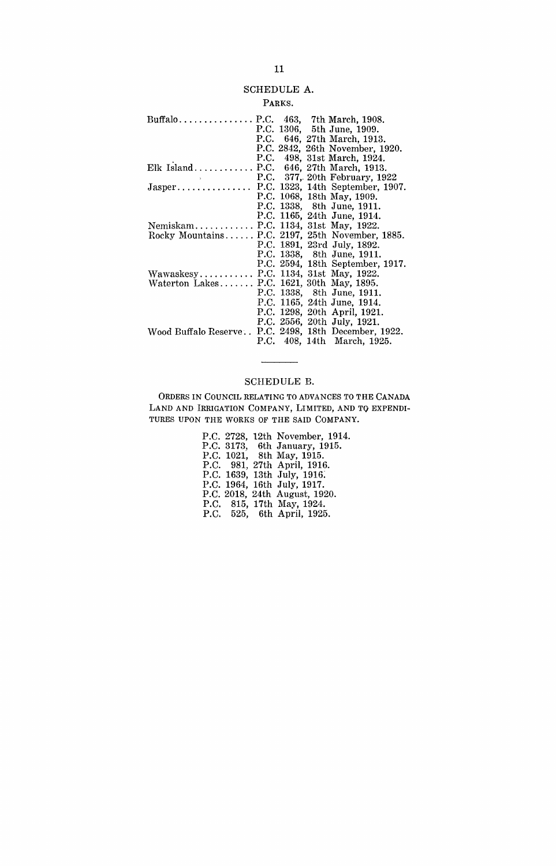# SCHEDULE A.

## PARKS.

| Buffalo P.C. 463, 7th March, 1908.                   |  |                                  |
|------------------------------------------------------|--|----------------------------------|
|                                                      |  | P.C. 1306, 5th June, 1909.       |
|                                                      |  | P.C. 646, 27th March, 1913.      |
|                                                      |  | P.C. 2842, 26th November, 1920.  |
|                                                      |  | P.C. 498, 31st March, 1924.      |
| Elk Island P.C. 646, 27th March, 1913.               |  |                                  |
|                                                      |  | P.C. 377, 20th February, 1922    |
| Jasper P.C. 1323, 14th September, 1907.              |  |                                  |
|                                                      |  | P.C. 1068, 18th May, 1909.       |
|                                                      |  | P.C. 1338, 8th June, 1911.       |
|                                                      |  | P.C. 1165, 24th June, 1914.      |
| NemiskamP.C. 1134, 31st May, 1922.                   |  |                                  |
| Rocky Mountains P.C. 2197, 25th November, 1885.      |  |                                  |
|                                                      |  | P.C. 1891, 23rd July, 1892.      |
|                                                      |  | P.C. 1338, 8th June, 1911.       |
|                                                      |  | P.C. 2594, 18th September, 1917. |
| Wawaskesy P.C. 1134, 31st May, 1922.                 |  |                                  |
| Waterton Lakes P.C. 1621, 30th May, 1895.            |  |                                  |
|                                                      |  | P.C. 1338, 8th June, 1911.       |
|                                                      |  | P.C. 1165, 24th June, 1914.      |
|                                                      |  | P.C. 1298, 20th April, 1921.     |
|                                                      |  | P.C. 2556, 20th July, 1921.      |
| Wood Buffalo Reserve P.C. 2498, 18th December, 1922. |  |                                  |
|                                                      |  | P.C. 408, 14th March, 1925.      |

# SCHEDULE B.

 $\overline{\phantom{a}}$ 

ORDERS IN COUNCIL RELATING TO ADVANCES TO THE CANADA LAND AND IRRIGATION COMPANY, LIMITED, AND TO EXPENDI- TURES UPON THE WORKS OF THE SAID COMPANY.

|  | P.C. 2728, 12th November, 1914. |
|--|---------------------------------|
|  | P.C. 3173, 6th January, 1915.   |
|  | P.C. 1021, 8th May, 1915.       |
|  | P.C. 981, 27th April, 1916.     |
|  | P.C. 1639, 13th July, 1916.     |
|  | P.C. 1964, 16th July, 1917.     |
|  | P.C. 2018, 24th August, 1920.   |
|  | P.C. 815, 17th May, 1924.       |
|  | P.C. 525, 6th April, 1925.      |
|  |                                 |